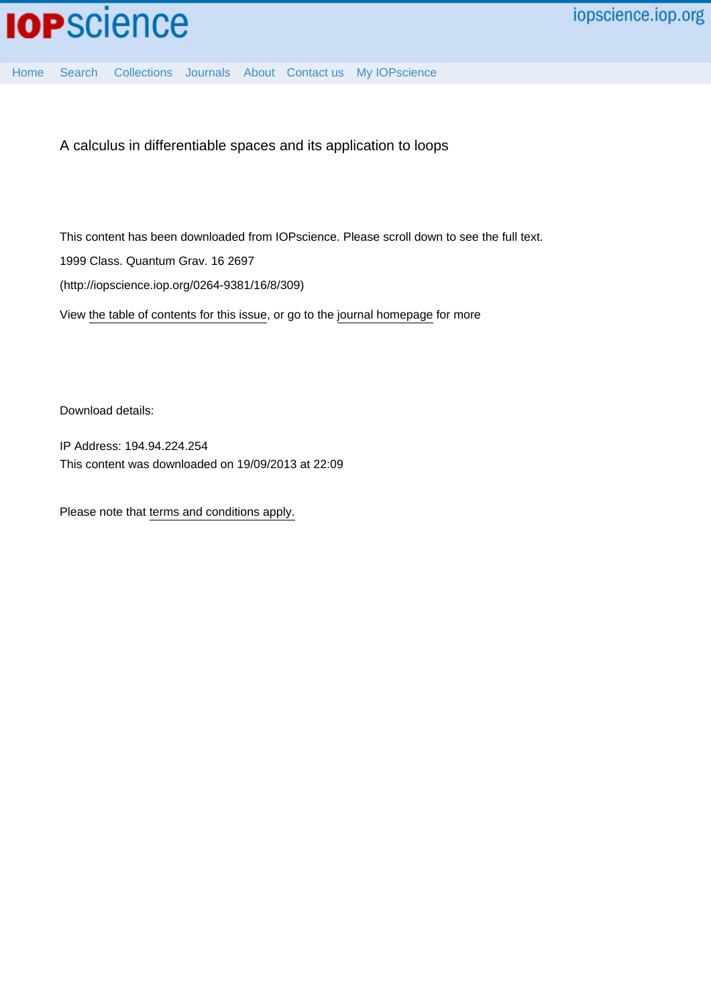

[Home](http://iopscience.iop.org/) [Search](http://iopscience.iop.org/search) [Collections](http://iopscience.iop.org/collections) [Journals](http://iopscience.iop.org/journals) [About](http://iopscience.iop.org/page/aboutioppublishing) [Contact us](http://iopscience.iop.org/contact) [My IOPscience](http://iopscience.iop.org/myiopscience)

A calculus in differentiable spaces and its application to loops

This content has been downloaded from IOPscience. Please scroll down to see the full text. 1999 Class. Quantum Grav. 16 2697 (http://iopscience.iop.org/0264-9381/16/8/309)

View [the table of contents for this issue](http://iopscience.iop.org/0264-9381/16/8), or go to the [journal homepage](http://iopscience.iop.org/0264-9381) for more

Download details:

IP Address: 194.94.224.254 This content was downloaded on 19/09/2013 at 22:09

Please note that [terms and conditions apply.](iopscience.iop.org/page/terms)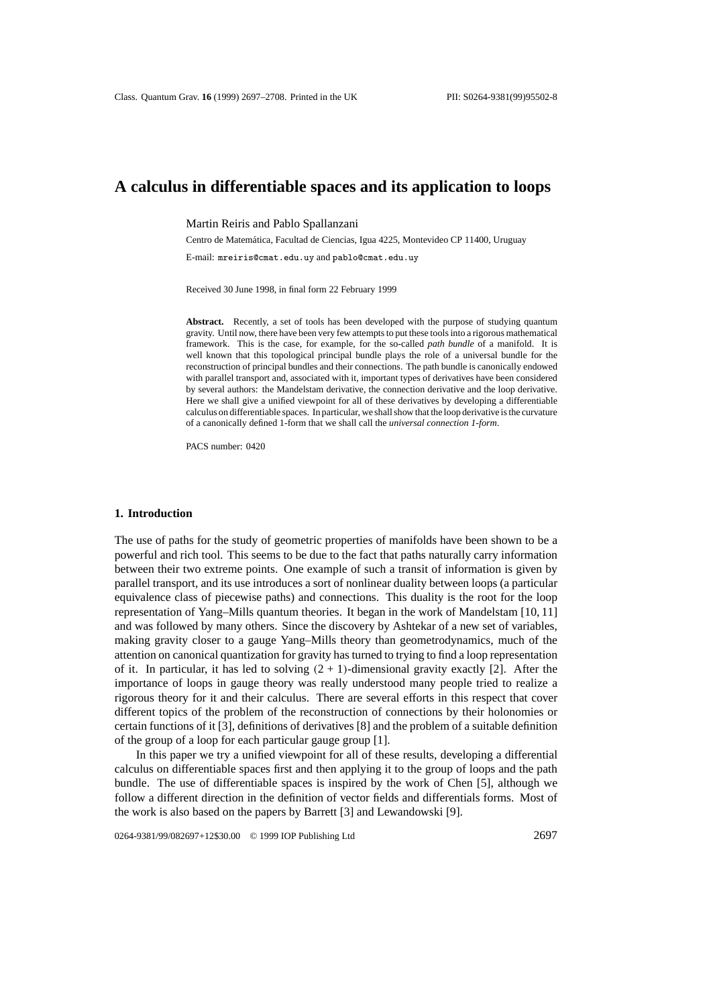# **A calculus in differentiable spaces and its application to loops**

#### Martin Reiris and Pablo Spallanzani

Centro de Matematica, Facultad de Ciencias, Igua 4225, Montevideo CP 11400, Uruguay ´

E-mail: mreiris@cmat.edu.uy and pablo@cmat.edu.uy

Received 30 June 1998, in final form 22 February 1999

**Abstract.** Recently, a set of tools has been developed with the purpose of studying quantum gravity. Until now, there have been very few attempts to put these tools into a rigorous mathematical framework. This is the case, for example, for the so-called *path bundle* of a manifold. It is well known that this topological principal bundle plays the role of a universal bundle for the reconstruction of principal bundles and their connections. The path bundle is canonically endowed with parallel transport and, associated with it, important types of derivatives have been considered by several authors: the Mandelstam derivative, the connection derivative and the loop derivative. Here we shall give a unified viewpoint for all of these derivatives by developing a differentiable calculus on differentiable spaces. In particular, we shall show that the loop derivative is the curvature of a canonically defined 1-form that we shall call the *universal connection 1-form*.

PACS number: 0420

#### **1. Introduction**

The use of paths for the study of geometric properties of manifolds have been shown to be a powerful and rich tool. This seems to be due to the fact that paths naturally carry information between their two extreme points. One example of such a transit of information is given by parallel transport, and its use introduces a sort of nonlinear duality between loops (a particular equivalence class of piecewise paths) and connections. This duality is the root for the loop representation of Yang–Mills quantum theories. It began in the work of Mandelstam [10, 11] and was followed by many others. Since the discovery by Ashtekar of a new set of variables, making gravity closer to a gauge Yang–Mills theory than geometrodynamics, much of the attention on canonical quantization for gravity has turned to trying to find a loop representation of it. In particular, it has led to solving  $(2 + 1)$ -dimensional gravity exactly [2]. After the importance of loops in gauge theory was really understood many people tried to realize a rigorous theory for it and their calculus. There are several efforts in this respect that cover different topics of the problem of the reconstruction of connections by their holonomies or certain functions of it [3], definitions of derivatives [8] and the problem of a suitable definition of the group of a loop for each particular gauge group [1].

In this paper we try a unified viewpoint for all of these results, developing a differential calculus on differentiable spaces first and then applying it to the group of loops and the path bundle. The use of differentiable spaces is inspired by the work of Chen [5], although we follow a different direction in the definition of vector fields and differentials forms. Most of the work is also based on the papers by Barrett [3] and Lewandowski [9].

0264-9381/99/082697+12\$30.00 © 1999 IOP Publishing Ltd 2697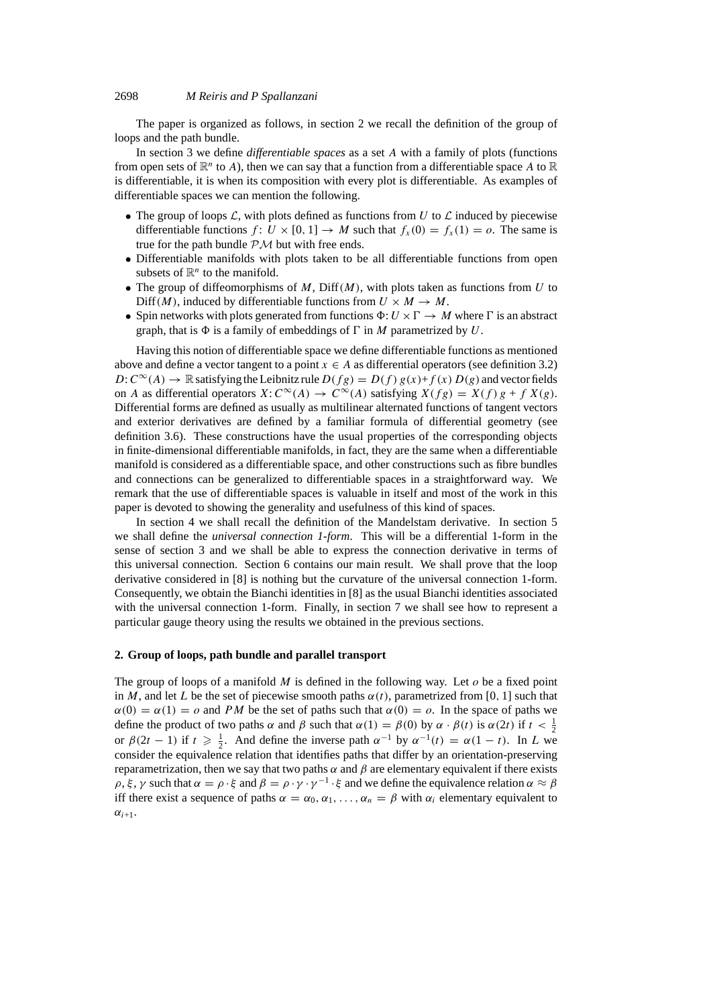The paper is organized as follows, in section 2 we recall the definition of the group of loops and the path bundle.

In section 3 we define *differentiable spaces* as a set *A* with a family of plots (functions from open sets of  $\mathbb{R}^n$  to *A*), then we can say that a function from a differentiable space *A* to  $\mathbb{R}$ is differentiable, it is when its composition with every plot is differentiable. As examples of differentiable spaces we can mention the following.

- The group of loops  $\mathcal L$ , with plots defined as functions from *U* to  $\mathcal L$  induced by piecewise differentiable functions  $f: U \times [0, 1] \rightarrow M$  such that  $f_x(0) = f_x(1) = o$ . The same is true for the path bundle *PM* but with free ends.
- Differentiable manifolds with plots taken to be all differentiable functions from open subsets of  $\mathbb{R}^n$  to the manifold.
- The group of diffeomorphisms of *M*, Diff*(M)*, with plots taken as functions from *U* to Diff(*M*), induced by differentiable functions from  $U \times M \rightarrow M$ .
- Spin networks with plots generated from functions  $\Phi: U \times \Gamma \to M$  where  $\Gamma$  is an abstract graph, that is  $\Phi$  is a family of embeddings of  $\Gamma$  in *M* parametrized by  $U$ .

Having this notion of differentiable space we define differentiable functions as mentioned above and define a vector tangent to a point  $x \in A$  as differential operators (see definition 3.2)  $D: C^{\infty}(A) \to \mathbb{R}$  satisfying the Leibnitz rule  $D(fg) = D(f)g(x) + f(x)D(g)$  and vector fields on *A* as differential operators  $X: C^{\infty}(A) \to C^{\infty}(A)$  satisfying  $X(fg) = X(f)g + f X(g)$ . Differential forms are defined as usually as multilinear alternated functions of tangent vectors and exterior derivatives are defined by a familiar formula of differential geometry (see definition 3.6). These constructions have the usual properties of the corresponding objects in finite-dimensional differentiable manifolds, in fact, they are the same when a differentiable manifold is considered as a differentiable space, and other constructions such as fibre bundles and connections can be generalized to differentiable spaces in a straightforward way. We remark that the use of differentiable spaces is valuable in itself and most of the work in this paper is devoted to showing the generality and usefulness of this kind of spaces.

In section 4 we shall recall the definition of the Mandelstam derivative. In section 5 we shall define the *universal connection 1-form*. This will be a differential 1-form in the sense of section 3 and we shall be able to express the connection derivative in terms of this universal connection. Section 6 contains our main result. We shall prove that the loop derivative considered in [8] is nothing but the curvature of the universal connection 1-form. Consequently, we obtain the Bianchi identities in [8] as the usual Bianchi identities associated with the universal connection 1-form. Finally, in section 7 we shall see how to represent a particular gauge theory using the results we obtained in the previous sections.

### **2. Group of loops, path bundle and parallel transport**

The group of loops of a manifold *M* is defined in the following way. Let *o* be a fixed point in *M*, and let *L* be the set of piecewise smooth paths  $\alpha(t)$ , parametrized from [0, 1] such that  $\alpha(0) = \alpha(1) = o$  and *PM* be the set of paths such that  $\alpha(0) = o$ . In the space of paths we define the product of two paths *α* and *β* such that  $\alpha(1) = \beta(0)$  by  $\alpha \cdot \beta(t)$  is  $\alpha(2t)$  if  $t < \frac{1}{2}$ or  $\beta(2t - 1)$  if  $t \ge \frac{1}{2}$ . And define the inverse path  $\alpha^{-1}$  by  $\alpha^{-1}(t) = \alpha(1 - t)$ . In *L* we consider the equivalence relation that identifies paths that differ by an orientation-preserving reparametrization, then we say that two paths *α* and *β* are elementary equivalent if there exists *ρ*, *ξ*, *γ* such that  $\alpha = \rho \cdot \xi$  and  $\beta = \rho \cdot \gamma \cdot \gamma^{-1} \cdot \xi$  and we define the equivalence relation  $\alpha \approx \beta$ iff there exist a sequence of paths  $\alpha = \alpha_0, \alpha_1, \ldots, \alpha_n = \beta$  with  $\alpha_i$  elementary equivalent to  $\alpha_{i+1}$ .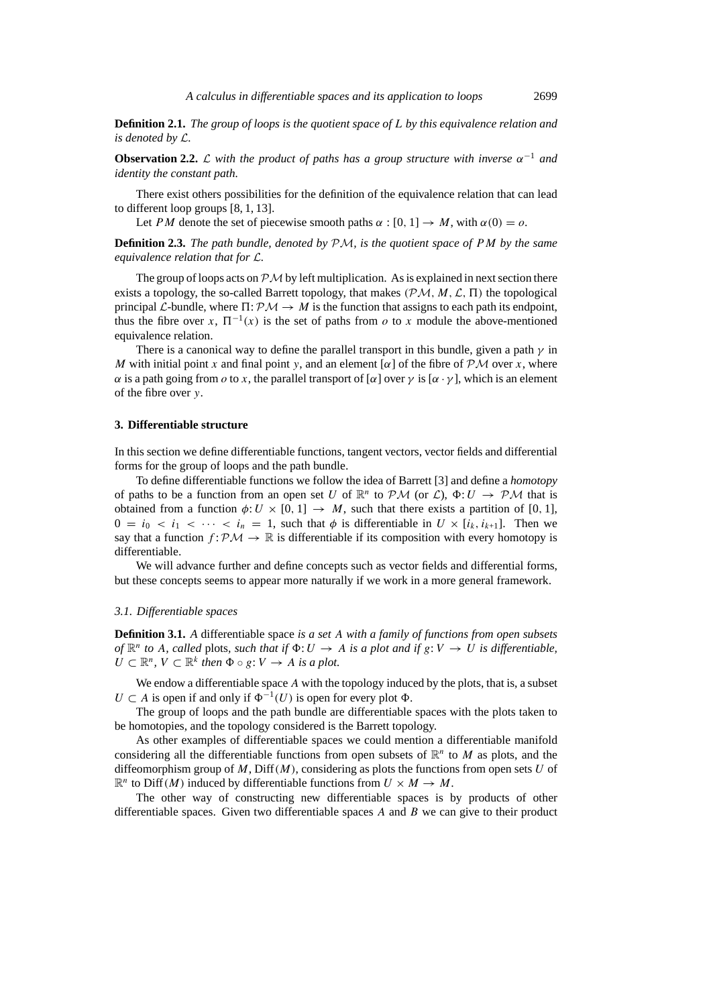**Definition 2.1.** *The group of loops is the quotient space of L by this equivalence relation and is denoted by L.*

**Observation 2.2.** *L* with the product of paths has a group structure with inverse  $\alpha^{-1}$  and *identity the constant path.*

There exist others possibilities for the definition of the equivalence relation that can lead to different loop groups [8, 1, 13].

Let *PM* denote the set of piecewise smooth paths  $\alpha : [0, 1] \rightarrow M$ , with  $\alpha(0) = 0$ .

**Definition 2.3.** *The path bundle, denoted by PM, is the quotient space of PM by the same equivalence relation that for L.*

The group of loops acts on  $P\mathcal{M}$  by left multiplication. As is explained in next section there exists a topology, the so-called Barrett topology, that makes  $(\mathcal{PM}, M, \mathcal{L}, \Pi)$  the topological principal *L*-bundle, where  $\Pi$ :  $\mathcal{PM} \rightarrow M$  is the function that assigns to each path its endpoint, thus the fibre over *x*,  $\Pi^{-1}(x)$  is the set of paths from *o* to *x* module the above-mentioned equivalence relation.

There is a canonical way to define the parallel transport in this bundle, given a path  $\gamma$  in *M* with initial point *x* and final point *y*, and an element [*α*] of the fibre of  $\mathcal{PM}$  over *x*, where *α* is a path going from *o* to *x*, the parallel transport of [*α*] over *γ* is [*α* · *γ*], which is an element of the fibre over *y*.

### **3. Differentiable structure**

In this section we define differentiable functions, tangent vectors, vector fields and differential forms for the group of loops and the path bundle.

To define differentiable functions we follow the idea of Barrett [3] and define a *homotopy* of paths to be a function from an open set *U* of  $\mathbb{R}^n$  to  $\mathcal{PM}$  (or *L*),  $\Phi: U \to \mathcal{PM}$  that is obtained from a function  $\phi: U \times [0, 1] \rightarrow M$ , such that there exists a partition of [0, 1],  $0 = i_0 < i_1 < \cdots < i_n = 1$ , such that  $\phi$  is differentiable in  $U \times [i_k, i_{k+1}]$ . Then we say that a function  $f: \mathcal{PM} \to \mathbb{R}$  is differentiable if its composition with every homotopy is differentiable.

We will advance further and define concepts such as vector fields and differential forms, but these concepts seems to appear more naturally if we work in a more general framework.

### *3.1. Differentiable spaces*

**Definition 3.1.** *A* differentiable space *is a set A with a family of functions from open subsets of*  $\mathbb{R}^n$  *to A, called* plots*, such that if*  $\Phi: U \to A$  *is a plot and if*  $g: V \to U$  *is differentiable,*  $U \subset \mathbb{R}^n$ ,  $V \subset \mathbb{R}^k$  *then*  $\Phi \circ g: V \to A$  *is a plot.* 

We endow a differentiable space *A* with the topology induced by the plots, that is, a subset *U* ⊂ *A* is open if and only if  $\Phi^{-1}(U)$  is open for every plot  $\Phi$ .

The group of loops and the path bundle are differentiable spaces with the plots taken to be homotopies, and the topology considered is the Barrett topology.

As other examples of differentiable spaces we could mention a differentiable manifold considering all the differentiable functions from open subsets of  $\mathbb{R}^n$  to *M* as plots, and the diffeomorphism group of *M*, Diff*(M)*, considering as plots the functions from open sets *U* of  $\mathbb{R}^n$  to Diff(*M*) induced by differentiable functions from  $U \times M \to M$ .

The other way of constructing new differentiable spaces is by products of other differentiable spaces. Given two differentiable spaces *A* and *B* we can give to their product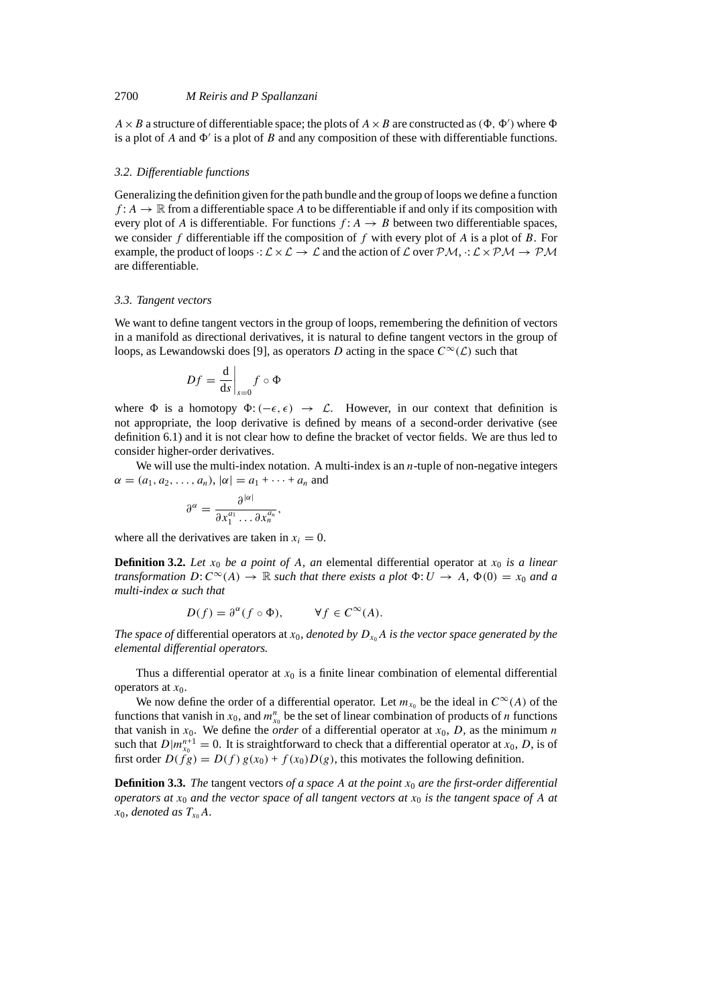*A* × *B* a structure of differentiable space; the plots of *A* × *B* are constructed as ( $\Phi$ ,  $\Phi'$ ) where  $\Phi$ is a plot of *A* and *8*<sup>0</sup> is a plot of *B* and any composition of these with differentiable functions.

### *3.2. Differentiable functions*

Generalizing the definition given for the path bundle and the group of loops we define a function  $f: A \to \mathbb{R}$  from a differentiable space *A* to be differentiable if and only if its composition with every plot of *A* is differentiable. For functions  $f: A \rightarrow B$  between two differentiable spaces, we consider *f* differentiable iff the composition of *f* with every plot of *A* is a plot of *B*. For example, the product of loops  $\cdot: \mathcal{L} \times \mathcal{L} \to \mathcal{L}$  and the action of  $\mathcal{L}$  over  $\mathcal{PM}$ ,  $\cdot: \mathcal{L} \times \mathcal{PM} \to \mathcal{PM}$ are differentiable.

### *3.3. Tangent vectors*

We want to define tangent vectors in the group of loops, remembering the definition of vectors in a manifold as directional derivatives, it is natural to define tangent vectors in the group of loops, as Lewandowski does [9], as operators *D* acting in the space  $C^{\infty}(\mathcal{L})$  such that

$$
Df = \frac{\mathrm{d}}{\mathrm{d}s}\bigg|_{s=0} f \circ \Phi
$$

where  $\Phi$  is a homotopy  $\Phi$ : ( $-\epsilon$ ,  $\epsilon$ )  $\to$  *L*. However, in our context that definition is not appropriate, the loop derivative is defined by means of a second-order derivative (see definition 6.1) and it is not clear how to define the bracket of vector fields. We are thus led to consider higher-order derivatives.

We will use the multi-index notation. A multi-index is an *n*-tuple of non-negative integers  $\alpha = (a_1, a_2, \ldots, a_n), |\alpha| = a_1 + \cdots + a_n$  and

$$
\partial^{\alpha} = \frac{\partial^{|\alpha|}}{\partial x_1^{a_1} \dots \partial x_n^{a_n}},
$$

where all the derivatives are taken in  $x_i = 0$ .

**Definition 3.2.** Let  $x_0$  be a point of A, an elemental differential operator at  $x_0$  *is a linear transformation*  $D: C^{\infty}(A) \to \mathbb{R}$  *such that there exists a plot*  $\Phi: U \to A$ *,*  $\Phi(0) = x_0$  *and a multi-index α such that*

$$
D(f) = \partial^{\alpha}(f \circ \Phi), \qquad \forall f \in C^{\infty}(A).
$$

*The space of* differential operators at  $x_0$ , denoted by  $D_{x_0}A$  *is the vector space generated by the elemental differential operators.*

Thus a differential operator at  $x_0$  is a finite linear combination of elemental differential operators at *x*0.

We now define the order of a differential operator. Let  $m_{x_0}$  be the ideal in  $C^{\infty}(A)$  of the functions that vanish in  $x_0$ , and  $m^n_{x_0}$  be the set of linear combination of products of *n* functions that vanish in  $x_0$ . We define the *order* of a differential operator at  $x_0$ ,  $D$ , as the minimum *n* such that  $D|m_{x_0}^{n+1} = 0$ . It is straightforward to check that a differential operator at  $x_0$ ,  $D$ , is of first order  $D(fg) = D(f) g(x_0) + f(x_0)D(g)$ , this motivates the following definition.

**Definition 3.3.** *The* tangent vectors *of a space A at the point*  $x_0$  *are the first-order differential operators at x*<sup>0</sup> *and the vector space of all tangent vectors at x*<sup>0</sup> *is the tangent space of A at*  $x_0$ *, denoted as*  $T_{x_0}A$ *.*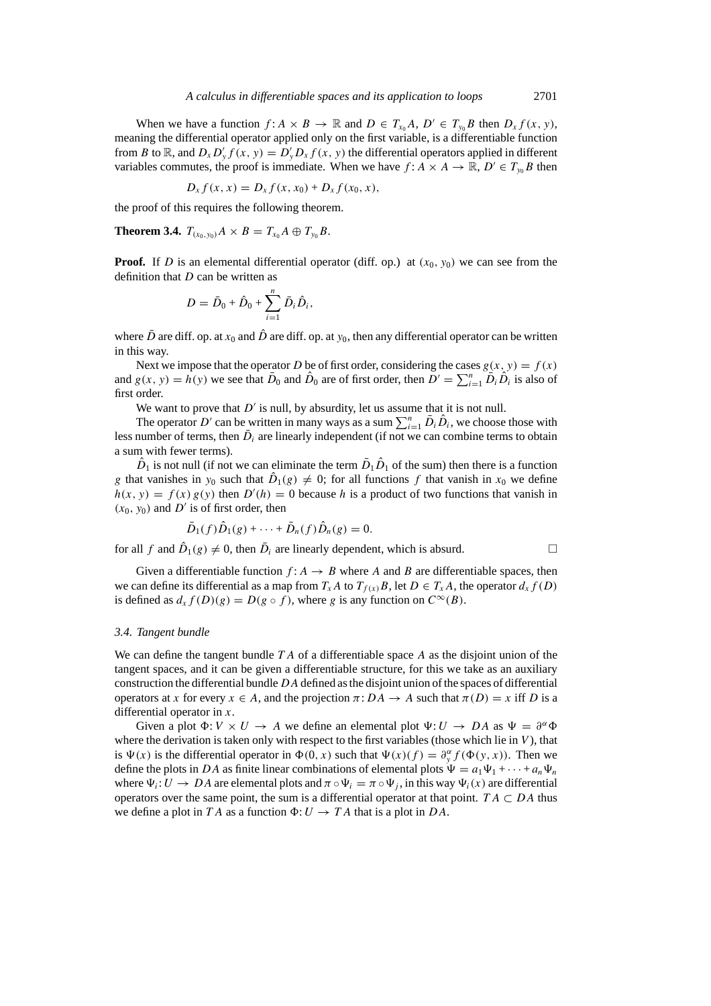When we have a function  $f: A \times B \to \mathbb{R}$  and  $D \in T_{xa}A$ ,  $D' \in T_{ya}B$  then  $D_x f(x, y)$ , meaning the differential operator applied only on the first variable, is a differentiable function from *B* to  $\mathbb{R}$ , and  $D_x D'_y f(x, y) = D'_y D_x f(x, y)$  the differential operators applied in different variables commutes, the proof is immediate. When we have  $f: A \times A \to \mathbb{R}$ ,  $D' \in T_{y_0}B$  then

$$
D_x f(x, x) = D_x f(x, x_0) + D_x f(x_0, x),
$$

the proof of this requires the following theorem.

**Theorem 3.4.**  $T_{(x_0, y_0)} A \times B = T_{x_0} A \oplus T_{y_0} B$ .

**Proof.** If *D* is an elemental differential operator (diff. op.) at  $(x_0, y_0)$  we can see from the definition that *D* can be written as

$$
D = \bar{D}_0 + \hat{D}_0 + \sum_{i=1}^n \bar{D}_i \hat{D}_i,
$$

where  $\bar{D}$  are diff. op. at  $x_0$  and  $\hat{D}$  are diff. op. at  $y_0$ , then any differential operator can be written in this way.

Next we impose that the operator *D* be of first order, considering the cases  $g(x, y) = f(x)$ and  $g(x, y) = h(y)$  we see that  $\bar{D}_0$  and  $\hat{D}_0$  are of first order, then  $D' = \sum_{i=1}^n \bar{D}_i \hat{D}_i$  is also of first order.

We want to prove that  $D'$  is null, by absurdity, let us assume that it is not null.

The operator *D'* can be written in many ways as a sum  $\sum_{i=1}^{n} \overline{D}_i \hat{D}_i$ , we choose those with less number of terms, then  $\overline{D}_i$  are linearly independent (if not we can combine terms to obtain a sum with fewer terms).

 $\hat{D}_1$  is not null (if not we can eliminate the term  $\bar{D}_1 \hat{D}_1$  of the sum) then there is a function *g* that vanishes in  $y_0$  such that  $\hat{D}_1(g) \neq 0$ ; for all functions f that vanish in  $x_0$  we define  $h(x, y) = f(x) g(y)$  then  $D'(h) = 0$  because *h* is a product of two functions that vanish in  $(x_0, y_0)$  and *D'* is of first order, then

$$
\overline{D}_1(f)\overline{D}_1(g)+\cdots+\overline{D}_n(f)\overline{D}_n(g)=0.
$$

for all *f* and  $\hat{D}_1(g) \neq 0$ , then  $\bar{D}_i$  are linearly dependent, which is absurd.

Given a differentiable function  $f: A \rightarrow B$  where *A* and *B* are differentiable spaces, then we can define its differential as a map from  $T_xA$  to  $T_{f(x)}B$ , let  $D \in T_xA$ , the operator  $d_x f(D)$ is defined as  $d_x f(D)(g) = D(g \circ f)$ , where *g* is any function on  $C^{\infty}(B)$ .

### *3.4. Tangent bundle*

We can define the tangent bundle *T A* of a differentiable space *A* as the disjoint union of the tangent spaces, and it can be given a differentiable structure, for this we take as an auxiliary construction the differential bundle *DA* defined as the disjoint union of the spaces of differential operators at *x* for every  $x \in A$ , and the projection  $\pi: DA \to A$  such that  $\pi(D) = x$  iff *D* is a differential operator in *x*.

Given a plot  $\Phi: V \times U \to A$  we define an elemental plot  $\Psi: U \to DA$  as  $\Psi = \partial^{\alpha} \Phi$ where the derivation is taken only with respect to the first variables (those which lie in *V* ), that is  $\Psi(x)$  is the differential operator in  $\Phi(0, x)$  such that  $\Psi(x)(f) = \partial_y^{\alpha} f(\Phi(y, x))$ . Then we define the plots in *DA* as finite linear combinations of elemental plots  $\Psi = a_1 \Psi_1 + \cdots + a_n \Psi_n$ where  $\Psi_i: U \to DA$  are elemental plots and  $\pi \circ \Psi_i = \pi \circ \Psi_j$ , in this way  $\Psi_i(x)$  are differential operators over the same point, the sum is a differential operator at that point.  $TA \subset DA$  thus we define a plot in *TA* as a function  $\Phi: U \to TA$  that is a plot in *DA*.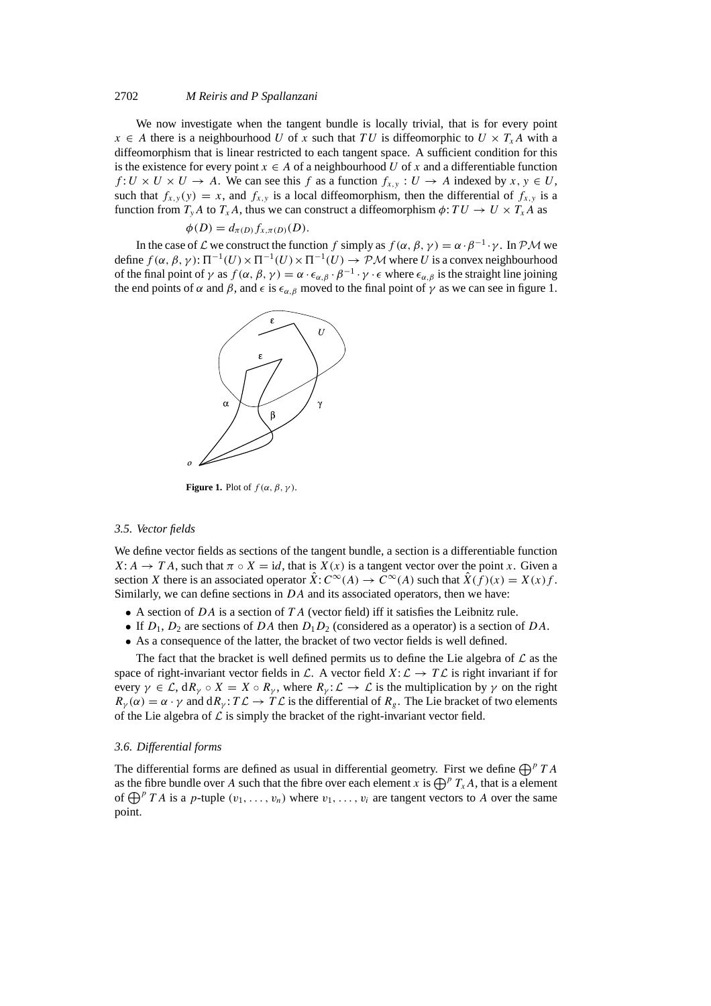We now investigate when the tangent bundle is locally trivial, that is for every point  $x \in A$  there is a neighbourhood *U* of *x* such that *TU* is diffeomorphic to  $U \times T$ , A with a diffeomorphism that is linear restricted to each tangent space. A sufficient condition for this is the existence for every point  $x \in A$  of a neighbourhood *U* of *x* and a differentiable function  $f: U \times U \times U \rightarrow A$ . We can see this *f* as a function  $f_{x,y}: U \rightarrow A$  indexed by  $x, y \in U$ , such that  $f_{x,y}(y) = x$ , and  $f_{x,y}$  is a local diffeomorphism, then the differential of  $f_{x,y}$  is a function from  $T_yA$  to  $T_xA$ , thus we can construct a diffeomorphism  $\phi: TU \to U \times T_xA$  as

 $\phi(D) = d_{\pi(D)} f_{x,\pi(D)}(D)$ .

In the case of *L* we construct the function *f* simply as  $f(\alpha, \beta, \gamma) = \alpha \cdot \beta^{-1} \cdot \gamma$ . In *PM* we define  $f(\alpha, \beta, \gamma)$ :  $\Pi^{-1}(U) \times \Pi^{-1}(U) \times \Pi^{-1}(U) \to \mathcal{PM}$  where *U* is a convex neighbourhood of the final point of  $\gamma$  as  $f(\alpha, \beta, \gamma) = \alpha \cdot \epsilon_{\alpha, \beta} \cdot \beta^{-1} \cdot \gamma \cdot \epsilon$  where  $\epsilon_{\alpha, \beta}$  is the straight line joining the end points of  $\alpha$  and  $\beta$ , and  $\epsilon$  is  $\epsilon_{\alpha,\beta}$  moved to the final point of  $\gamma$  as we can see in figure 1.



**Figure 1.** Plot of  $f(\alpha, \beta, \gamma)$ .

#### *3.5. Vector fields*

We define vector fields as sections of the tangent bundle, a section is a differentiable function  $X: A \rightarrow TA$ , such that  $\pi \circ X = id$ , that is  $X(x)$  is a tangent vector over the point *x*. Given a section *X* there is an associated operator  $\hat{X}$ :  $C^{\infty}(A) \to C^{\infty}(A)$  such that  $\hat{X}(f)(x) = X(x) f$ . Similarly, we can define sections in *DA* and its associated operators, then we have:

- A section of *DA* is a section of *T A* (vector field) iff it satisfies the Leibnitz rule.
- If  $D_1$ ,  $D_2$  are sections of DA then  $D_1D_2$  (considered as a operator) is a section of DA.
- As a consequence of the latter, the bracket of two vector fields is well defined.

The fact that the bracket is well defined permits us to define the Lie algebra of  $\mathcal L$  as the space of right-invariant vector fields in  $\mathcal{L}$ . A vector field  $X: \mathcal{L} \to T\mathcal{L}$  is right invariant if for every  $\gamma \in \mathcal{L}$ ,  $dR_{\gamma} \circ X = X \circ R_{\gamma}$ , where  $R_{\gamma}: \mathcal{L} \to \mathcal{L}$  is the multiplication by  $\gamma$  on the right  $R_{\gamma}(\alpha) = \alpha \cdot \gamma$  and  $dR_{\gamma} : T\mathcal{L} \to T\mathcal{L}$  is the differential of  $R_{g}$ . The Lie bracket of two elements of the Lie algebra of  $\mathcal L$  is simply the bracket of the right-invariant vector field.

### *3.6. Differential forms*

The differential forms are defined as usual in differential geometry. First we define  $\bigoplus^p TA$ as the fibre bundle over *A* such that the fibre over each element *x* is  $\bigoplus^p T_xA$ , that is a element of  $\bigoplus^p TA$  is a *p*-tuple  $(v_1, \ldots, v_n)$  where  $v_1, \ldots, v_i$  are tangent vectors to *A* over the same point.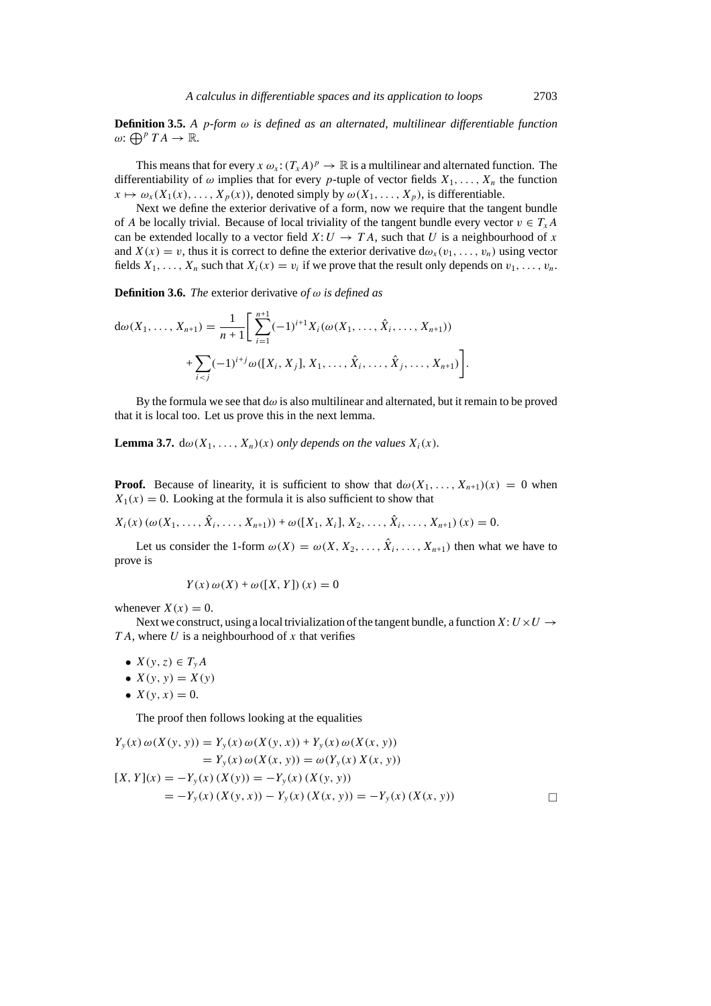**Definition 3.5.** *A p-form ω is defined as an alternated, multilinear differentiable function*  $\omega: \bigoplus^p TA \to \mathbb{R}$ .

This means that for every  $x \omega_x$ :  $(T_x A)^p \to \mathbb{R}$  is a multilinear and alternated function. The differentiability of  $\omega$  implies that for every *p*-tuple of vector fields  $X_1, \ldots, X_n$  the function  $x \mapsto \omega_x(X_1(x), \ldots, X_p(x))$ , denoted simply by  $\omega(X_1, \ldots, X_p)$ , is differentiable.

Next we define the exterior derivative of a form, now we require that the tangent bundle of *A* be locally trivial. Because of local triviality of the tangent bundle every vector  $v \in T_x A$ can be extended locally to a vector field  $X: U \rightarrow TA$ , such that *U* is a neighbourhood of *x* and  $X(x) = v$ , thus it is correct to define the exterior derivative  $d\omega_x(v_1, \ldots, v_n)$  using vector fields  $X_1, \ldots, X_n$  such that  $X_i(x) = v_i$  if we prove that the result only depends on  $v_1, \ldots, v_n$ .

**Definition 3.6.** *The* exterior derivative *of*  $\omega$  *is defined as* 

$$
d\omega(X_1, ..., X_{n+1}) = \frac{1}{n+1} \left[ \sum_{i=1}^{n+1} (-1)^{i+1} X_i(\omega(X_1, ..., \hat{X}_i, ..., X_{n+1})) + \sum_{i < j} (-1)^{i+j} \omega([X_i, X_j], X_1, ..., \hat{X}_i, ..., \hat{X}_j, ..., X_{n+1}) \right].
$$

By the formula we see that  $d\omega$  is also multilinear and alternated, but it remain to be proved that it is local too. Let us prove this in the next lemma.

**Lemma 3.7.**  $d\omega(X_1, \ldots, X_n)(x)$  *only depends on the values*  $X_i(x)$ *.* 

**Proof.** Because of linearity, it is sufficient to show that  $d\omega(X_1, \ldots, X_{n+1})(x) = 0$  when  $X_1(x) = 0$ . Looking at the formula it is also sufficient to show that

 $X_i(x) (\omega(X_1, \ldots, \hat{X}_i, \ldots, X_{n+1})) + \omega([X_1, X_i], X_2, \ldots, \hat{X}_i, \ldots, X_{n+1}) (x) = 0.$ 

Let us consider the 1-form  $\omega(X) = \omega(X, X_2, \ldots, \hat{X}_i, \ldots, X_{n+1})$  then what we have to prove is

 $Y(x) \omega(X) + \omega([X, Y]) (x) = 0$ 

whenever  $X(x) = 0$ .

Next we construct, using a local trivialization of the tangent bundle, a function  $X: U \times U \rightarrow$ *T A*, where *U* is a neighbourhood of *x* that verifies

- $X(y, z) \in T_y A$
- $X(y, y) = X(y)$
- $X(y, x) = 0$ .

The proof then follows looking at the equalities

$$
Y_y(x) \omega(X(y, y)) = Y_y(x) \omega(X(y, x)) + Y_y(x) \omega(X(x, y))
$$
  
=  $Y_y(x) \omega(X(x, y)) = \omega(Y_y(x) X(x, y))$   
[X, Y](x) =  $-Y_y(x) (X(y)) = -Y_y(x) (X(y, y))$   
=  $-Y_y(x) (X(y, x)) - Y_y(x) (X(x, y)) = -Y_y(x) (X(x, y))$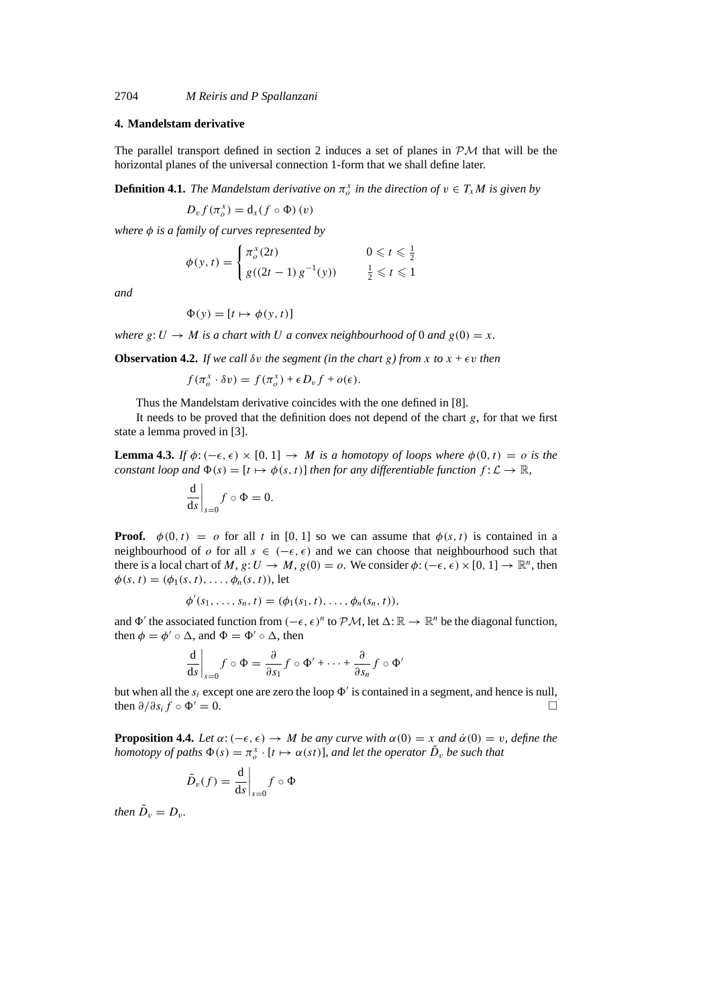# **4. Mandelstam derivative**

The parallel transport defined in section 2 induces a set of planes in *PM* that will be the horizontal planes of the universal connection 1-form that we shall define later.

**Definition 4.1.** *The Mandelstam derivative on*  $\pi_o^x$  *in the direction of*  $v \in T_xM$  *is given by* 

$$
D_v f(\pi_o^x) = d_x(f \circ \Phi)(v)
$$

*where φ is a family of curves represented by*

$$
\phi(y, t) = \begin{cases} \pi_o^x(2t) & 0 \leq t \leq \frac{1}{2} \\ g((2t - 1) g^{-1}(y)) & \frac{1}{2} \leq t \leq 1 \end{cases}
$$

*and*

$$
\Phi(y) = [t \mapsto \phi(y, t)]
$$

*where*  $g: U \to M$  *is a chart with U a convex neighbourhood of* 0 *and*  $g(0) = x$ *.* 

**Observation 4.2.** *If we call*  $\delta v$  *the segment (in the chart g) from x to*  $x + \epsilon v$  *then* 

$$
f(\pi_o^x \cdot \delta v) = f(\pi_o^x) + \epsilon D_v f + o(\epsilon).
$$

Thus the Mandelstam derivative coincides with the one defined in [8].

It needs to be proved that the definition does not depend of the chart *g*, for that we first state a lemma proved in [3].

**Lemma 4.3.** *If*  $\phi$ : $(-\epsilon, \epsilon) \times [0, 1] \rightarrow M$  *is a homotopy of loops where*  $\phi(0, t) = o$  *is the constant loop and*  $\Phi(s) = [t \mapsto \phi(s, t)]$  *then for any differentiable function*  $f: \mathcal{L} \to \mathbb{R}$ *,* 

$$
\left.\frac{\mathrm{d}}{\mathrm{d}s}\right|_{s=0}f\circ\Phi=0.
$$

**Proof.**  $\phi(0, t) = o$  for all t in [0, 1] so we can assume that  $\phi(s, t)$  is contained in a neighbourhood of *o* for all  $s \in (-\epsilon, \epsilon)$  and we can choose that neighbourhood such that there is a local chart of *M*,  $g: U \to M$ ,  $g(0) = o$ . We consider  $\phi: (-\epsilon, \epsilon) \times [0, 1] \to \mathbb{R}^n$ , then  $\phi(s, t) = (\phi_1(s, t), \ldots, \phi_n(s, t))$ , let

$$
\phi'(s_1, ..., s_n, t) = (\phi_1(s_1, t), ..., \phi_n(s_n, t)),
$$

and  $\Phi'$  the associated function from  $(-\epsilon, \epsilon)^n$  to  $\mathcal{PM}$ , let  $\Delta: \mathbb{R} \to \mathbb{R}^n$  be the diagonal function, then  $\phi = \phi' \circ \Delta$ , and  $\Phi = \Phi' \circ \Delta$ , then

$$
\frac{\mathrm{d}}{\mathrm{d}s}\bigg|_{s=0}f\circ\Phi=\frac{\partial}{\partial s_1}f\circ\Phi'+\cdots+\frac{\partial}{\partial s_n}f\circ\Phi'
$$

but when all the  $s_i$  except one are zero the loop  $\Phi'$  is contained in a segment, and hence is null, then  $\partial/\partial s_i f \circ \Phi' = 0$ .

**Proposition 4.4.** *Let*  $\alpha$ :  $(-\epsilon, \epsilon) \rightarrow M$  *be any curve with*  $\alpha(0) = x$  *and*  $\dot{\alpha}(0) = v$ *, define the homotopy of paths*  $\Phi(s) = \pi_o^x \cdot [t \mapsto \alpha(st)]$ *, and let the operator*  $\tilde{D}_v$  *be such that* 

$$
\tilde{D}_v(f) = \frac{\mathrm{d}}{\mathrm{d}s}\bigg|_{s=0} f \circ \Phi
$$

*then*  $\tilde{D}_v = D_v$ .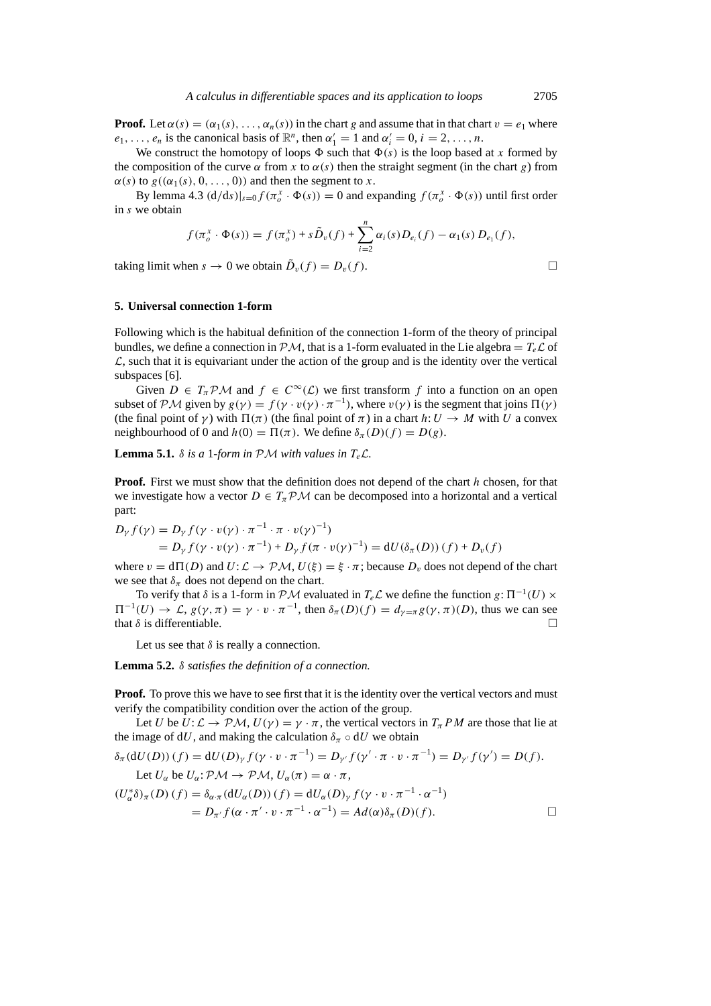**Proof.** Let  $\alpha(s) = (\alpha_1(s), \dots, \alpha_n(s))$  in the chart *g* and assume that in that chart  $v = e_1$  where  $e_1, \ldots, e_n$  is the canonical basis of  $\mathbb{R}^n$ , then  $\alpha'_1 = 1$  and  $\alpha'_i = 0, i = 2, \ldots, n$ .

We construct the homotopy of loops  $\Phi$  such that  $\Phi(s)$  is the loop based at *x* formed by the composition of the curve  $\alpha$  from x to  $\alpha(s)$  then the straight segment (in the chart *g*) from  $\alpha(s)$  to  $g((\alpha_1(s), 0, \ldots, 0))$  and then the segment to *x*.

By lemma 4.3  $(d/ds)|_{s=0} f(\pi_o^x \cdot \Phi(s)) = 0$  and expanding  $f(\pi_o^x \cdot \Phi(s))$  until first order in *s* we obtain

$$
f(\pi_o^x \cdot \Phi(s)) = f(\pi_o^x) + s \tilde{D}_v(f) + \sum_{i=2}^n \alpha_i(s) D_{e_i}(f) - \alpha_1(s) D_{e_1}(f),
$$

taking limit when  $s \to 0$  we obtain  $\tilde{D}_v(f) = D_v(f)$ .

### **5. Universal connection 1-form**

Following which is the habitual definition of the connection 1-form of the theory of principal bundles, we define a connection in  $PM$ , that is a 1-form evaluated in the Lie algebra =  $T_e\mathcal{L}$  of  $\mathcal{L}$ , such that it is equivariant under the action of the group and is the identity over the vertical subspaces [6].

Given  $D \in T_{\pi} \mathcal{P} \mathcal{M}$  and  $f \in C^{\infty}(\mathcal{L})$  we first transform f into a function on an open subset of *PM* given by  $g(\gamma) = f(\gamma \cdot v(\gamma) \cdot \pi^{-1})$ , where  $v(\gamma)$  is the segment that joins  $\Pi(\gamma)$ (the final point of *γ*) with  $\Pi(\pi)$  (the final point of  $\pi$ ) in a chart  $h: U \to M$  with *U* a convex neighbourhood of 0 and  $h(0) = \Pi(\pi)$ . We define  $\delta_{\pi}(D)(f) = D(g)$ .

**Lemma 5.1.**  $\delta$  *is a* 1*-form in*  $\mathcal{PM}$  *with values in*  $T_e\mathcal{L}$ *.* 

**Proof.** First we must show that the definition does not depend of the chart *h* chosen, for that we investigate how a vector  $D \in T_{\pi}$ *PM* can be decomposed into a horizontal and a vertical part:

$$
D_{\gamma} f(\gamma) = D_{\gamma} f(\gamma \cdot v(\gamma) \cdot \pi^{-1} \cdot \pi \cdot v(\gamma)^{-1})
$$
  
= 
$$
D_{\gamma} f(\gamma \cdot v(\gamma) \cdot \pi^{-1}) + D_{\gamma} f(\pi \cdot v(\gamma)^{-1}) = dU(\delta_{\pi}(D)) (f) + D_{\nu}(f)
$$

where  $v = d\Pi(D)$  and  $U: \mathcal{L} \to \mathcal{PM}, U(\xi) = \xi \cdot \pi$ ; because  $D_v$  does not depend of the chart we see that  $\delta_{\pi}$  does not depend on the chart.

To verify that  $\delta$  is a 1-form in  $\mathcal{PM}$  evaluated in  $T_e\mathcal{L}$  we define the function  $g: \Pi^{-1}(U) \times$  $\Pi^{-1}(U) \to \mathcal{L}$ ,  $g(\gamma, \pi) = \gamma \cdot v \cdot \pi^{-1}$ , then  $\delta_{\pi}(D)(f) = d_{\gamma = \pi} g(\gamma, \pi)(D)$ , thus we can see that  $\delta$  is differentiable.

Let us see that  $\delta$  is really a connection.

**Lemma 5.2.** *δ satisfies the definition of a connection.*

**Proof.** To prove this we have to see first that it is the identity over the vertical vectors and must verify the compatibility condition over the action of the group.

Let *U* be  $U: \mathcal{L} \to \mathcal{P}M$ ,  $U(\gamma) = \gamma \cdot \pi$ , the vertical vectors in  $T_{\pi}PM$  are those that lie at the image of  $dU$ , and making the calculation  $\delta_{\pi} \circ dU$  we obtain

$$
\delta_{\pi}(\mathrm{d}U(D))(f) = \mathrm{d}U(D)_{\gamma} f(\gamma \cdot v \cdot \pi^{-1}) = D_{\gamma'} f(\gamma' \cdot \pi \cdot v \cdot \pi^{-1}) = D_{\gamma'} f(\gamma') = D(f).
$$

Let  $U_{\alpha}$  be  $U_{\alpha}$ :  $\mathcal{PM} \rightarrow \mathcal{PM}$ ,  $U_{\alpha}(\pi) = \alpha \cdot \pi$ ,

$$
(U_{\alpha}^{*}\delta)_{\pi}(D) (f) = \delta_{\alpha \cdot \pi}(\mathrm{d}U_{\alpha}(D)) (f) = \mathrm{d}U_{\alpha}(D)_{\gamma} f(\gamma \cdot v \cdot \pi^{-1} \cdot \alpha^{-1})
$$
  
=  $D_{\pi'} f(\alpha \cdot \pi' \cdot v \cdot \pi^{-1} \cdot \alpha^{-1}) = Ad(\alpha) \delta_{\pi}(D) (f).$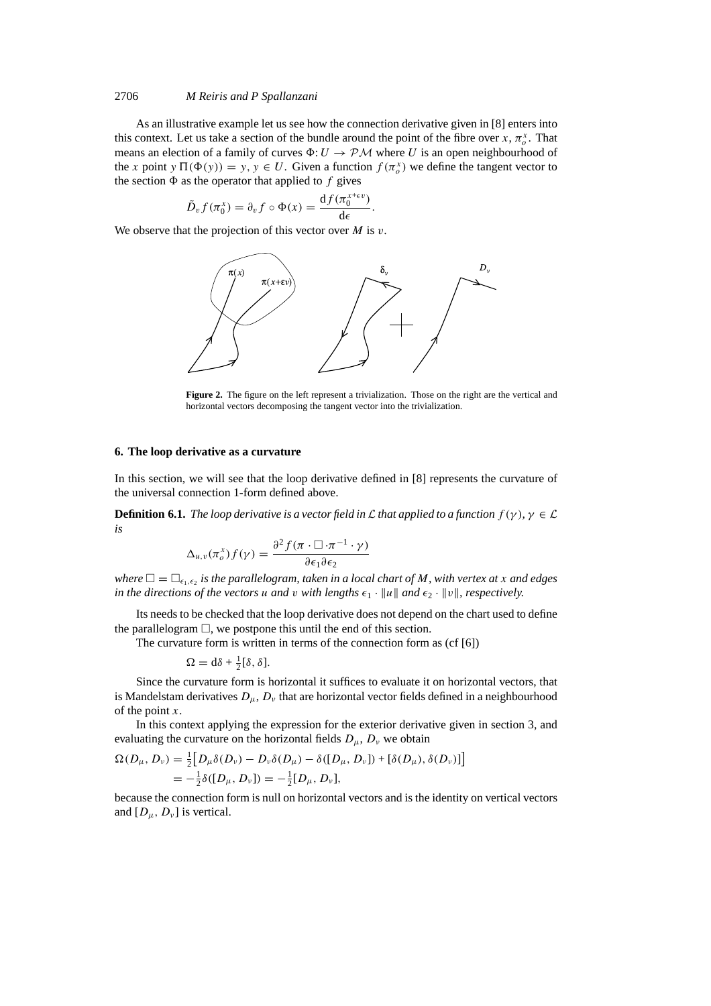As an illustrative example let us see how the connection derivative given in [8] enters into this context. Let us take a section of the bundle around the point of the fibre over  $x, \pi^x_o$ . That means an election of a family of curves  $\Phi: U \to \mathcal{PM}$  where *U* is an open neighbourhood of the *x* point  $y \Pi(\Phi(y)) = y, y \in U$ . Given a function  $f(\pi_o^x)$  we define the tangent vector to the section  $\Phi$  as the operator that applied to  $f$  gives

$$
\tilde{D}_v f(\pi_0^x) = \partial_v f \circ \Phi(x) = \frac{\mathrm{d} f(\pi_0^{x+\epsilon v})}{\mathrm{d} \epsilon}.
$$

We observe that the projection of this vector over *M* is *v*.



Figure 2. The figure on the left represent a trivialization. Those on the right are the vertical and horizontal vectors decomposing the tangent vector into the trivialization.

### **6. The loop derivative as a curvature**

In this section, we will see that the loop derivative defined in [8] represents the curvature of the universal connection 1-form defined above.

**Definition 6.1.** *The loop derivative is a vector field in*  $\mathcal L$  *that applied to a function*  $f(\gamma)$ *,*  $\gamma \in \mathcal L$ *is*

$$
\Delta_{u,v}(\pi_o^x) f(\gamma) = \frac{\partial^2 f(\pi \cdot \Box \cdot \pi^{-1} \cdot \gamma)}{\partial \epsilon_1 \partial \epsilon_2}
$$

*where*  $\square = \square_{\epsilon_1, \epsilon_2}$  *is the parallelogram, taken in a local chart of M, with vertex at x and edges in the directions of the vectors <i>u* and *v* with lengths  $\epsilon_1 \cdot ||u||$  and  $\epsilon_2 \cdot ||v||$ , respectively.

Its needs to be checked that the loop derivative does not depend on the chart used to define the parallelogram  $\Box$ , we postpone this until the end of this section.

The curvature form is written in terms of the connection form as (cf [6])

 $\Omega = d\delta + \frac{1}{2} [\delta, \delta].$ 

Since the curvature form is horizontal it suffices to evaluate it on horizontal vectors, that is Mandelstam derivatives *Dµ*, *Dν* that are horizontal vector fields defined in a neighbourhood of the point *x*.

In this context applying the expression for the exterior derivative given in section 3, and evaluating the curvature on the horizontal fields  $D_{\mu}$ ,  $D_{\nu}$  we obtain

$$
\Omega(D_{\mu}, D_{\nu}) = \frac{1}{2} [D_{\mu} \delta(D_{\nu}) - D_{\nu} \delta(D_{\mu}) - \delta([D_{\mu}, D_{\nu}]) + [\delta(D_{\mu}), \delta(D_{\nu})] \big]
$$
  
=  $-\frac{1}{2} \delta([D_{\mu}, D_{\nu}]) = -\frac{1}{2} [D_{\mu}, D_{\nu}],$ 

because the connection form is null on horizontal vectors and is the identity on vertical vectors and  $[D_{\mu}, D_{\nu}]$  is vertical.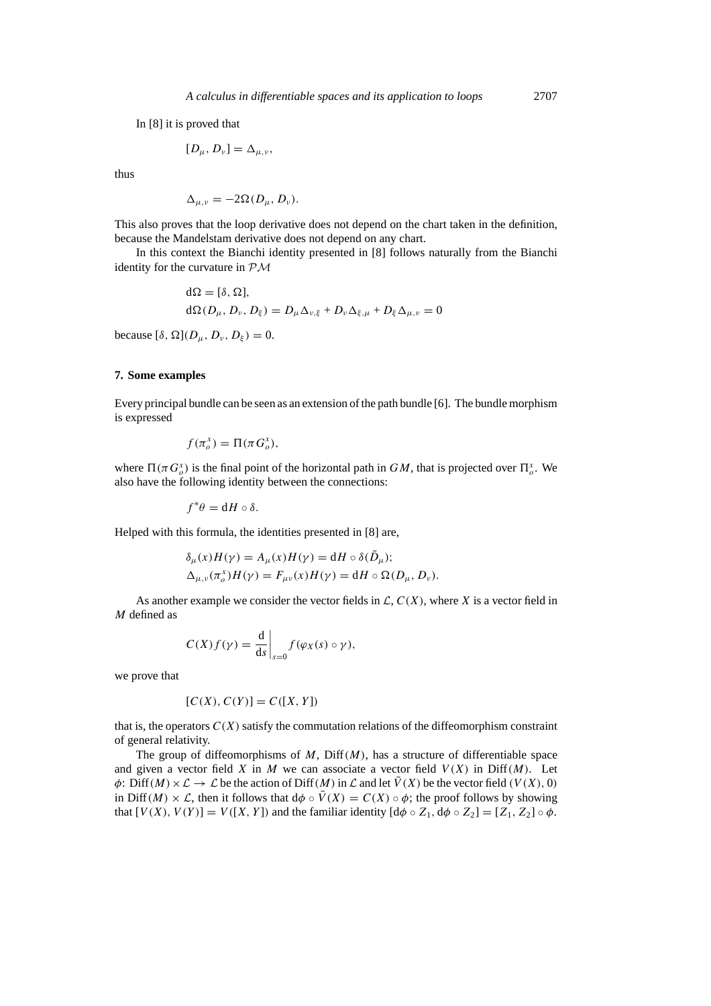In [8] it is proved that

$$
[D_{\mu}, D_{\nu}] = \Delta_{\mu, \nu},
$$

thus

$$
\Delta_{\mu,\nu}=-2\Omega(D_{\mu},D_{\nu}).
$$

This also proves that the loop derivative does not depend on the chart taken in the definition, because the Mandelstam derivative does not depend on any chart.

In this context the Bianchi identity presented in [8] follows naturally from the Bianchi identity for the curvature in *PM*

$$
d\Omega = [\delta, \Omega],
$$
  

$$
d\Omega(D_{\mu}, D_{\nu}, D_{\xi}) = D_{\mu} \Delta_{\nu, \xi} + D_{\nu} \Delta_{\xi, \mu} + D_{\xi} \Delta_{\mu, \nu} = 0
$$

because  $[\delta, \Omega](D_{\mu}, D_{\nu}, D_{\xi}) = 0.$ 

### **7. Some examples**

Every principal bundle can be seen as an extension of the path bundle [6]. The bundle morphism is expressed

$$
f(\pi_o^x) = \Pi(\pi G_o^x),
$$

where  $\Pi(\pi G_o^x)$  is the final point of the horizontal path in *GM*, that is projected over  $\Pi_o^x$ . We also have the following identity between the connections:

$$
f^*\theta = \mathrm{d} H \circ \delta.
$$

Helped with this formula, the identities presented in [8] are,

$$
\delta_{\mu}(x)H(\gamma) = A_{\mu}(x)H(\gamma) = dH \circ \delta(\tilde{D}_{\mu});
$$
  

$$
\Delta_{\mu,\nu}(\pi_o^x)H(\gamma) = F_{\mu\nu}(x)H(\gamma) = dH \circ \Omega(D_{\mu}, D_{\nu}).
$$

As another example we consider the vector fields in  $\mathcal{L}$ ,  $C(X)$ , where *X* is a vector field in *M* defined as

$$
C(X)f(\gamma) = \frac{\mathrm{d}}{\mathrm{d}s}\bigg|_{s=0} f(\varphi_X(s) \circ \gamma),
$$

we prove that

$$
[C(X), C(Y)] = C([X, Y])
$$

that is, the operators  $C(X)$  satisfy the commutation relations of the diffeomorphism constraint of general relativity.

The group of diffeomorphisms of *M*, Diff*(M)*, has a structure of differentiable space and given a vector field *X* in *M* we can associate a vector field  $V(X)$  in Diff $(M)$ . Let  $\varphi$ : Diff $(M) \times \mathcal{L} \to \mathcal{L}$  be the action of Diff $(M)$  in  $\mathcal{L}$  and let  $\overline{V}(X)$  be the vector field  $(V(X), 0)$ in Diff(*M*)  $\times$  *L*, then it follows that  $d\phi \circ \overline{V}(X) = C(X) \circ \phi$ ; the proof follows by showing that  $[V(X), V(Y)] = V([X, Y])$  and the familiar identity  $[d\phi \circ Z_1, d\phi \circ Z_2] = [Z_1, Z_2] \circ \phi$ .